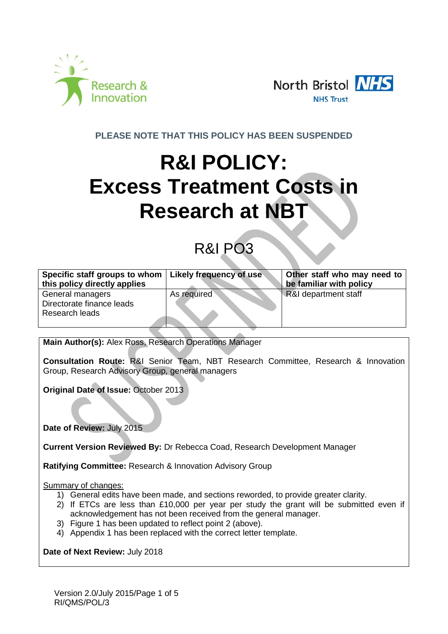



**PLEASE NOTE THAT THIS POLICY HAS BEEN SUSPENDED**

# **R&I POLICY: Excess Treatment Costs in Research at NBT**

# R&I PO3

| Specific staff groups to whom   Likely frequency of use |             | Other staff who may need to |
|---------------------------------------------------------|-------------|-----------------------------|
| this policy directly applies                            |             | be familiar with policy     |
| General managers                                        | As required | R&I department staff        |
| Directorate finance leads                               |             |                             |
| Research leads                                          |             |                             |
|                                                         |             |                             |

**Main Author(s):** Alex Ross, Research Operations Manager

**Consultation Route:** R&I Senior Team, NBT Research Committee, Research & Innovation Group, Research Advisory Group, general managers

**Original Date of Issue:** October 2013

**Date of Review:** July 2015

**Current Version Reviewed By:** Dr Rebecca Coad, Research Development Manager

**Ratifying Committee:** Research & Innovation Advisory Group

Summary of changes:

- 1) General edits have been made, and sections reworded, to provide greater clarity.
- 2) If ETCs are less than £10,000 per year per study the grant will be submitted even if acknowledgement has not been received from the general manager.
- 3) Figure 1 has been updated to reflect point 2 (above).
- 4) Appendix 1 has been replaced with the correct letter template.

**Date of Next Review:** July 2018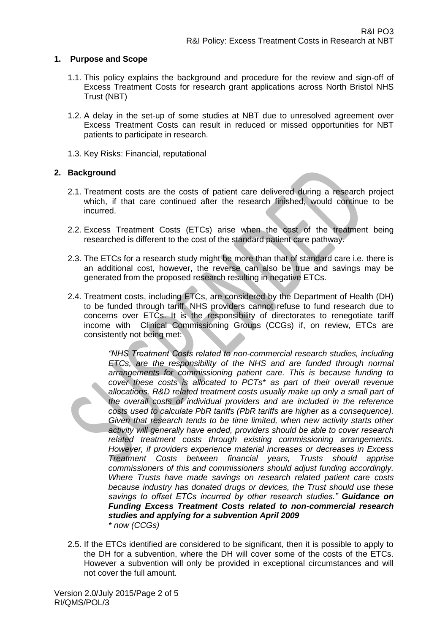#### **1. Purpose and Scope**

- 1.1. This policy explains the background and procedure for the review and sign-off of Excess Treatment Costs for research grant applications across North Bristol NHS Trust (NBT)
- 1.2. A delay in the set-up of some studies at NBT due to unresolved agreement over Excess Treatment Costs can result in reduced or missed opportunities for NBT patients to participate in research.
- 1.3. Key Risks: Financial, reputational

## **2. Background**

- 2.1. Treatment costs are the costs of patient care delivered during a research project which, if that care continued after the research finished, would continue to be incurred.
- 2.2. Excess Treatment Costs (ETCs) arise when the cost of the treatment being researched is different to the cost of the standard patient care pathway.
- 2.3. The ETCs for a research study might be more than that of standard care i.e. there is an additional cost, however, the reverse can also be true and savings may be generated from the proposed research resulting in negative ETCs.
- 2.4. Treatment costs, including ETCs, are considered by the Department of Health (DH) to be funded through tariff. NHS providers cannot refuse to fund research due to concerns over ETCs. It is the responsibility of directorates to renegotiate tariff income with Clinical Commissioning Groups (CCGs) if, on review, ETCs are consistently not being met:

*"NHS Treatment Costs related to non-commercial research studies, including ETCs, are the responsibility of the NHS and are funded through normal arrangements for commissioning patient care. This is because funding to cover these costs is allocated to PCTs\* as part of their overall revenue allocations. R&D related treatment costs usually make up only a small part of the overall costs of individual providers and are included in the reference costs used to calculate PbR tariffs (PbR tariffs are higher as a consequence).*  Given that research tends to be time limited, when new activity starts other *activity will generally have ended, providers should be able to cover research related treatment costs through existing commissioning arrangements. However, if providers experience material increases or decreases in Excess Treatment Costs between financial years, Trusts should apprise commissioners of this and commissioners should adjust funding accordingly. Where Trusts have made savings on research related patient care costs because industry has donated drugs or devices, the Trust should use these savings to offset ETCs incurred by other research studies." Guidance on Funding Excess Treatment Costs related to non-commercial research studies and applying for a subvention April 2009 \* now (CCGs)*

2.5. If the ETCs identified are considered to be significant, then it is possible to apply to the DH for a subvention, where the DH will cover some of the costs of the ETCs. However a subvention will only be provided in exceptional circumstances and will not cover the full amount.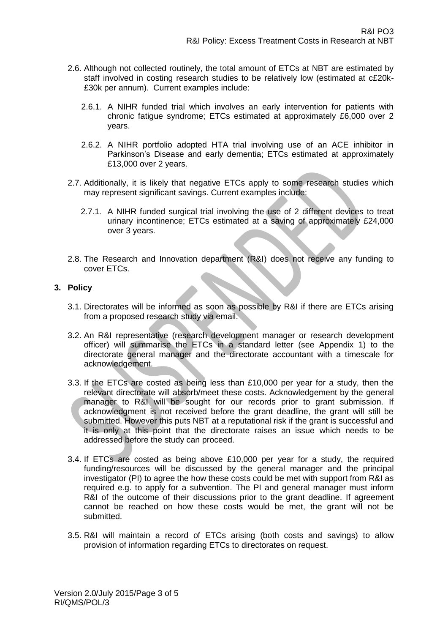- 2.6. Although not collected routinely, the total amount of ETCs at NBT are estimated by staff involved in costing research studies to be relatively low (estimated at c£20k- £30k per annum). Current examples include:
	- 2.6.1. A NIHR funded trial which involves an early intervention for patients with chronic fatigue syndrome; ETCs estimated at approximately £6,000 over 2 years.
	- 2.6.2. A NIHR portfolio adopted HTA trial involving use of an ACE inhibitor in Parkinson's Disease and early dementia; ETCs estimated at approximately £13,000 over 2 years.
- 2.7. Additionally, it is likely that negative ETCs apply to some research studies which may represent significant savings. Current examples include:
	- 2.7.1. A NIHR funded surgical trial involving the use of 2 different devices to treat urinary incontinence; ETCs estimated at a saving of approximately £24,000 over 3 years.
- 2.8. The Research and Innovation department (R&I) does not receive any funding to cover ETCs.

## **3. Policy**

- 3.1. Directorates will be informed as soon as possible by R&I if there are ETCs arising from a proposed research study via email.
- 3.2. An R&I representative (research development manager or research development officer) will summarise the ETCs in a standard letter (see Appendix 1) to the directorate general manager and the directorate accountant with a timescale for acknowledgement.
- 3.3. If the ETCs are costed as being less than £10,000 per year for a study, then the relevant directorate will absorb/meet these costs. Acknowledgement by the general manager to R&I will be sought for our records prior to grant submission. If acknowledgment is not received before the grant deadline, the grant will still be submitted. However this puts NBT at a reputational risk if the grant is successful and it is only at this point that the directorate raises an issue which needs to be addressed before the study can proceed.
- 3.4. If ETCs are costed as being above £10,000 per year for a study, the required funding/resources will be discussed by the general manager and the principal investigator (PI) to agree the how these costs could be met with support from R&I as required e.g. to apply for a subvention. The PI and general manager must inform R&I of the outcome of their discussions prior to the grant deadline. If agreement cannot be reached on how these costs would be met, the grant will not be submitted.
- 3.5. R&I will maintain a record of ETCs arising (both costs and savings) to allow provision of information regarding ETCs to directorates on request.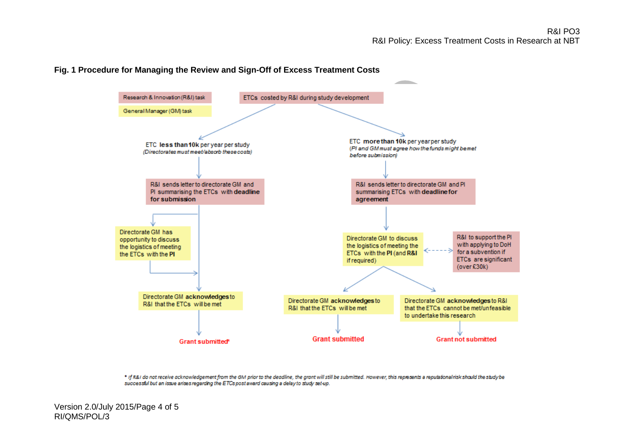## **Fig. 1 Procedure for Managing the Review and Sign-Off of Excess Treatment Costs**



\* If R&I do not receive acknowledgement from the GM prior to the deadline, the grant will still be submitted. However, this represents a reputational risk should the study be successful but an issue arises regarding the ETCs post award causing a delay to study set-up.

Version 2.0/July 2015/Page 4 of 5 RI/QMS/POL/3